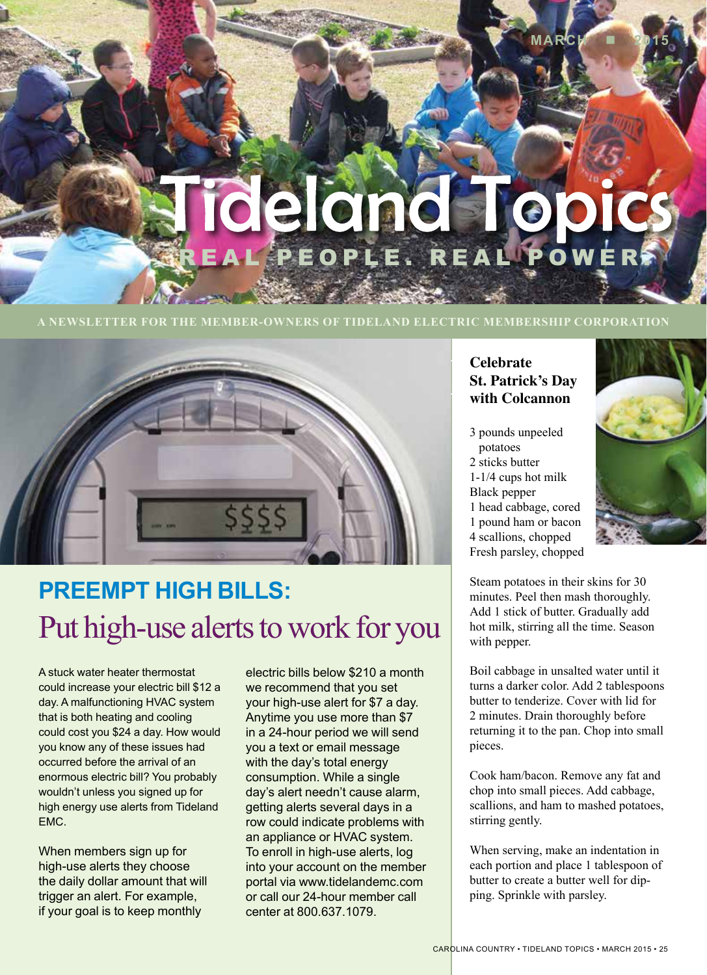# ideland Tep L'PEOPLE. REAL POWER

#### **A NEWSLETTER FOR THE MEMBER-OWNERS OF TIDELAND ELECTRIC MEMBERSHIP CORPORATION**



## **PREEMPT HIGH BILLS:**  Put high-use alerts to work for you

A stuck water heater thermostat could increase your electric bill \$12 a day. A malfunctioning HVAC system that is both heating and cooling could cost you \$24 a day. How would you know any of these issues had occurred before the arrival of an enormous electric bill? You probably wouldn't unless you signed up for high energy use alerts from Tideland EMC.

When members sign up for high-use alerts they choose the daily dollar amount that will trigger an alert. For example, if your goal is to keep monthly

electric bills below \$210 a month we recommend that you set your high-use alert for \$7 a day. Anytime you use more than \$7 in a 24-hour period we will send you a text or email message with the day's total energy consumption. While a single day's alert needn't cause alarm, getting alerts several days in a row could indicate problems with an appliance or HVAC system. To enroll in high-use alerts, log into your account on the member portal via www.tidelandemc.com or call our 24-hour member call center at 800.637.1079.

### **Celebrate St. Patrick's Day with Colcannon**

3 pounds unpeeled potatoes 2 sticks butter 1-1/4 cups hot milk Black pepper 1 head cabbage, cored 1 pound ham or bacon 4 scallions, chopped Fresh parsley, chopped



**MARCH 2015**

Steam potatoes in their skins for 30 minutes. Peel then mash thoroughly. Add 1 stick of butter. Gradually add hot milk, stirring all the time. Season with pepper.

Boil cabbage in unsalted water until it turns a darker color. Add 2 tablespoons butter to tenderize. Cover with lid for 2 minutes. Drain thoroughly before returning it to the pan. Chop into small pieces.

Cook ham/bacon. Remove any fat and chop into small pieces. Add cabbage, scallions, and ham to mashed potatoes, stirring gently.

When serving, make an indentation in each portion and place 1 tablespoon of butter to create a butter well for dipping. Sprinkle with parsley.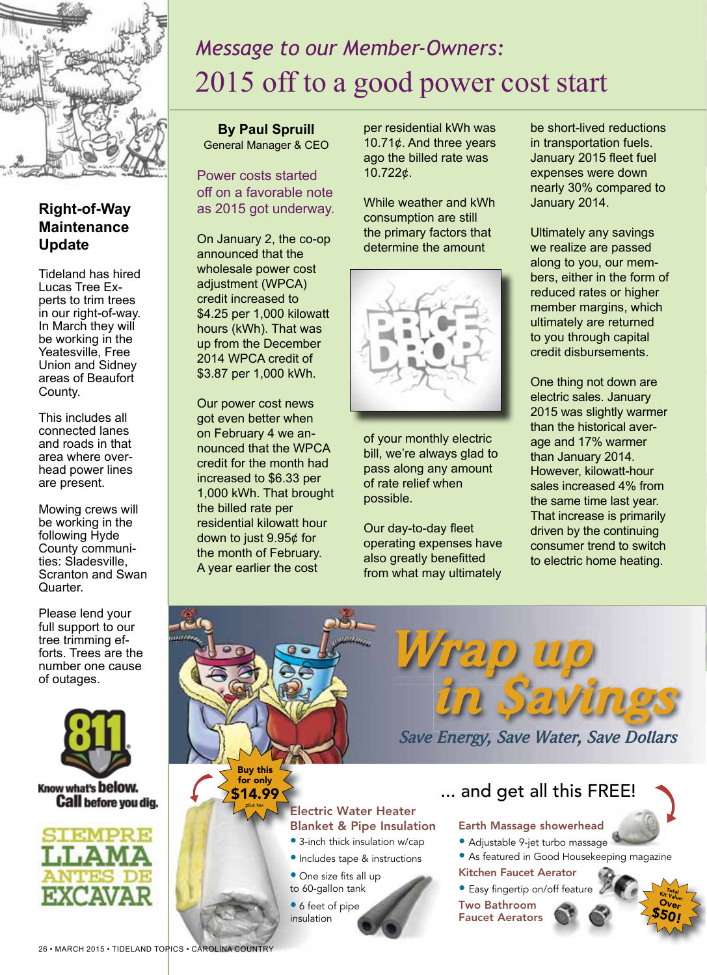

### **Right-of-Way Maintenance Update**

Tideland has hired Lucas Tree Experts to trim trees in our right-of-way. In March they will be working in the Yeatesville, Free Union and Sidney areas of Beaufort County.

This includes all connected lanes and roads in that area where overhead power lines are present.

Mowing crews will be working in the following Hyde County communities: Sladesville, Scranton and Swan Quarter.

Please lend your full support to our tree trimming efforts. Trees are the number one cause of outages.



Know what's **below. Call** before you dig.



### *Message to our Member-Owners:* 2015 off to a good power cost start

**By Paul Spruill** General Manager & CEO

Power costs started off on a favorable note as 2015 got underway.

On January 2, the co-op announced that the wholesale power cost adjustment (WPCA) credit increased to \$4.25 per 1,000 kilowatt hours (kWh). That was up from the December 2014 WPCA credit of \$3.87 per 1,000 kWh.

Our power cost news got even better when on February 4 we announced that the WPCA credit for the month had increased to \$6.33 per 1,000 kWh. That brought the billed rate per residential kilowatt hour down to just 9.95¢ for the month of February. A year earlier the cost

per residential kWh was 10.71¢. And three years ago the billed rate was 10.722¢.

While weather and kWh consumption are still the primary factors that determine the amount



of your monthly electric bill, we're always glad to pass along any amount of rate relief when possible.

Our day-to-day fleet operating expenses have also greatly benefitted from what may ultimately be short-lived reductions in transportation fuels. January 2015 fleet fuel expenses were down nearly 30% compared to January 2014.

Ultimately any savings we realize are passed along to you, our members, either in the form of reduced rates or higher member margins, which ultimately are returned to you through capital credit disbursements.

One thing not down are electric sales. January 2015 was slightly warmer than the historical average and 17% warmer than January 2014. However, kilowatt-hour sales increased 4% from the same time last year. That increase is primarily driven by the continuing consumer trend to switch to electric home heating.

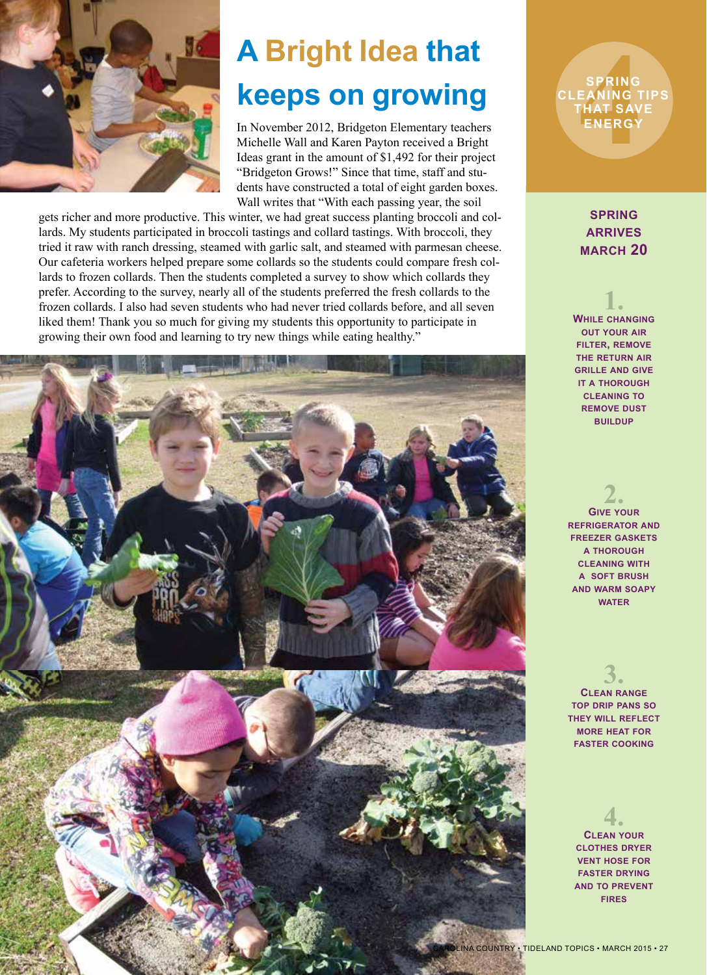

# **A Bright Idea that keeps on growing 4**

In November 2012, Bridgeton Elementary teachers Michelle Wall and Karen Payton received a Bright Ideas grant in the amount of \$1,492 for their project "Bridgeton Grows!" Since that time, staff and students have constructed a total of eight garden boxes. Wall writes that "With each passing year, the soil

gets richer and more productive. This winter, we had great success planting broccoli and collards. My students participated in broccoli tastings and collard tastings. With broccoli, they tried it raw with ranch dressing, steamed with garlic salt, and steamed with parmesan cheese. Our cafeteria workers helped prepare some collards so the students could compare fresh collards to frozen collards. Then the students completed a survey to show which collards they prefer. According to the survey, nearly all of the students preferred the fresh collards to the frozen collards. I also had seven students who had never tried collards before, and all seven liked them! Thank you so much for giving my students this opportunity to participate in growing their own food and learning to try new things while eating healthy."



**SPRING CLEANING TIPS THAT SAVE ENERGY**

> **spring arrives march 20**

**1. While changing out your air filter, remove the return air grille and give it a thorough cleaning to remove dust buildup**

**2. Give your refrigerator and freezer gaskets a thorough cleaning with a soft brush and warm soapy water**

**3. Clean range top drip pans so they will reflect more heat for faster cooking**

**4. Clean your clothes dryer vent hose for faster drying and to prevent fires**